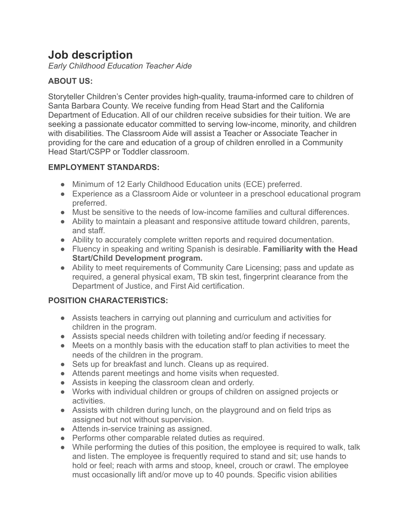# **Job description**

*Early Childhood Education Teacher Aide*

# **ABOUT US:**

Storyteller Children's Center provides high-quality, trauma-informed care to children of Santa Barbara County. We receive funding from Head Start and the California Department of Education. All of our children receive subsidies for their tuition. We are seeking a passionate educator committed to serving low-income, minority, and children with disabilities. The Classroom Aide will assist a Teacher or Associate Teacher in providing for the care and education of a group of children enrolled in a Community Head Start/CSPP or Toddler classroom.

# **EMPLOYMENT STANDARDS:**

- Minimum of 12 Early Childhood Education units (ECE) preferred.
- Experience as a Classroom Aide or volunteer in a preschool educational program preferred.
- Must be sensitive to the needs of low-income families and cultural differences.
- Ability to maintain a pleasant and responsive attitude toward children, parents, and staff.
- Ability to accurately complete written reports and required documentation.
- Fluency in speaking and writing Spanish is desirable. **Familiarity with the Head Start/Child Development program.**
- Ability to meet requirements of Community Care Licensing; pass and update as required, a general physical exam, TB skin test, fingerprint clearance from the Department of Justice, and First Aid certification.

# **POSITION CHARACTERISTICS:**

- Assists teachers in carrying out planning and curriculum and activities for children in the program.
- Assists special needs children with toileting and/or feeding if necessary.
- Meets on a monthly basis with the education staff to plan activities to meet the needs of the children in the program.
- Sets up for breakfast and lunch. Cleans up as required.
- Attends parent meetings and home visits when requested.
- Assists in keeping the classroom clean and orderly.
- Works with individual children or groups of children on assigned projects or activities.
- Assists with children during lunch, on the playground and on field trips as assigned but not without supervision.
- Attends in-service training as assigned.
- Performs other comparable related duties as required.
- While performing the duties of this position, the employee is required to walk, talk and listen. The employee is frequently required to stand and sit; use hands to hold or feel; reach with arms and stoop, kneel, crouch or crawl. The employee must occasionally lift and/or move up to 40 pounds. Specific vision abilities